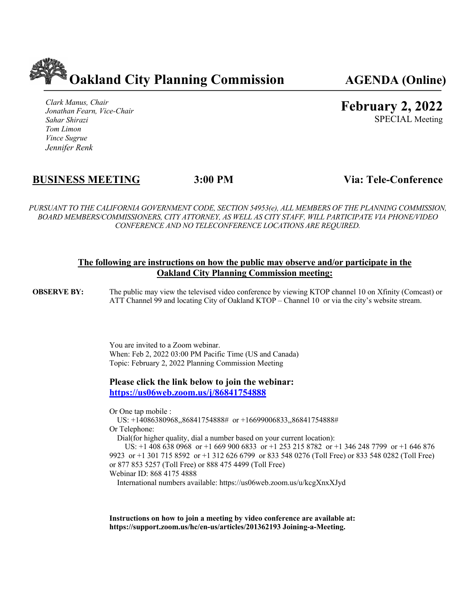

*Clark Manus, Chair Jonathan Fearn, Vice-Chair Sahar Shirazi Tom Limon Vince Sugrue Jennifer Renk*

**February 2, 2022**

SPECIAL Meeting

# **BUSINESS MEETING 3:00 PM Via: Tele-Conference**

*PURSUANT TO THE CALIFORNIA GOVERNMENT CODE, SECTION 54953(e), ALL MEMBERS OF THE PLANNING COMMISSION, BOARD MEMBERS/COMMISSIONERS, CITY ATTORNEY, AS WELL AS CITY STAFF, WILL PARTICIPATE VIA PHONE/VIDEO CONFERENCE AND NO TELECONFERENCE LOCATIONS ARE REQUIRED.*

## **The following are instructions on how the public may observe and/or participate in the Oakland City Planning Commission meeting:**

**OBSERVE BY:** The public may view the televised video conference by viewing KTOP channel 10 on Xfinity (Comcast) or ATT Channel 99 and locating City of Oakland KTOP – Channel 10 or via the city's website stream.

> You are invited to a Zoom webinar. When: Feb 2, 2022 03:00 PM Pacific Time (US and Canada) Topic: February 2, 2022 Planning Commission Meeting

**Please click the link below to join the webinar: https://us06web.zoom.us/j/86841754888**

Or One tap mobile :

 US: +14086380968,,86841754888# or +16699006833,,86841754888# Or Telephone:

Dial(for higher quality, dial a number based on your current location):

 US: +1 408 638 0968 or +1 669 900 6833 or +1 253 215 8782 or +1 346 248 7799 or +1 646 876 9923 or +1 301 715 8592 or +1 312 626 6799 or 833 548 0276 (Toll Free) or 833 548 0282 (Toll Free) or 877 853 5257 (Toll Free) or 888 475 4499 (Toll Free) Webinar ID: 868 4175 4888

International numbers available: https://us06web.zoom.us/u/kcgXnxXJyd

**Instructions on how to join a meeting by video conference are available at: https://support.zoom.us/hc/en-us/articles/201362193 Joining-a-Meeting.**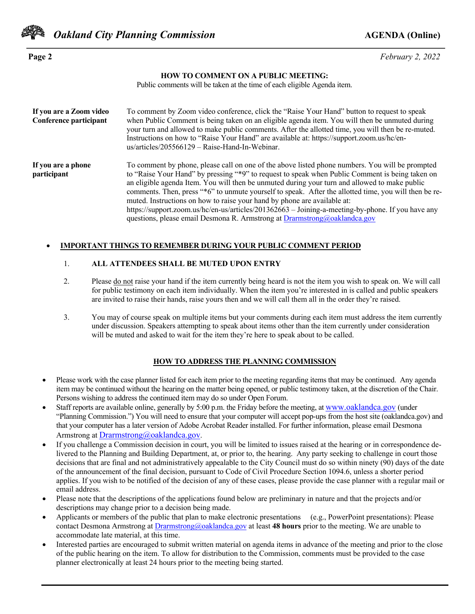

**Page 2** *February 2, 2022*

#### **HOW TO COMMENT ON A PUBLIC MEETING:**

Public comments will be taken at the time of each eligible Agenda item.

| If you are a Zoom video<br>Conference participant | To comment by Zoom video conference, click the "Raise Your Hand" button to request to speak<br>when Public Comment is being taken on an eligible agenda item. You will then be unmuted during<br>your turn and allowed to make public comments. After the allotted time, you will then be re-muted.<br>Instructions on how to "Raise Your Hand" are available at: https://support.zoom.us/hc/en-<br>us/articles/205566129 - Raise-Hand-In-Webinar.                                                                                                                                                                                                                         |
|---------------------------------------------------|----------------------------------------------------------------------------------------------------------------------------------------------------------------------------------------------------------------------------------------------------------------------------------------------------------------------------------------------------------------------------------------------------------------------------------------------------------------------------------------------------------------------------------------------------------------------------------------------------------------------------------------------------------------------------|
| If you are a phone<br>participant                 | To comment by phone, please call on one of the above listed phone numbers. You will be prompted<br>to "Raise Your Hand" by pressing "*9" to request to speak when Public Comment is being taken on<br>an eligible agenda Item. You will then be unmuted during your turn and allowed to make public<br>comments. Then, press "*6" to unmute yourself to speak. After the allotted time, you will then be re-<br>muted. Instructions on how to raise your hand by phone are available at:<br>https://support.zoom.us/hc/en-us/articles/201362663 - Joining-a-meeting-by-phone. If you have any<br>questions, please email Desmona R. Armstrong at Drarmstrong@oaklandca.gov |

#### • **IMPORTANT THINGS TO REMEMBER DURING YOUR PUBLIC COMMENT PERIOD**

#### 1. **ALL ATTENDEES SHALL BE MUTED UPON ENTRY**

- 2. Please do not raise your hand if the item currently being heard is not the item you wish to speak on. We will call for public testimony on each item individually. When the item you're interested in is called and public speakers are invited to raise their hands, raise yours then and we will call them all in the order they're raised.
- 3. You may of course speak on multiple items but your comments during each item must address the item currently under discussion. Speakers attempting to speak about items other than the item currently under consideration will be muted and asked to wait for the item they're here to speak about to be called.

#### **HOW TO ADDRESS THE PLANNING COMMISSION**

- Please work with the case planner listed for each item prior to the meeting regarding items that may be continued. Any agenda item may be continued without the hearing on the matter being opened, or public testimony taken, at the discretion of the Chair. Persons wishing to address the continued item may do so under Open Forum.
- Staff reports are available online, generally by 5:00 p.m. the Friday before the meeting, at www.oaklandca.gov (under "Planning Commission.") You will need to ensure that your computer will accept pop-ups from the host site (oaklandca.gov) and that your computer has a later version of Adobe Acrobat Reader installed. For further information, please email Desmona Armstrong at **Drarmstrong@oaklandca.gov**.
- If you challenge a Commission decision in court, you will be limited to issues raised at the hearing or in correspondence delivered to the Planning and Building Department, at, or prior to, the hearing. Any party seeking to challenge in court those decisions that are final and not administratively appealable to the City Council must do so within ninety (90) days of the date of the announcement of the final decision, pursuant to Code of Civil Procedure Section 1094.6, unless a shorter period applies. If you wish to be notified of the decision of any of these cases, please provide the case planner with a regular mail or email address.
- Please note that the descriptions of the applications found below are preliminary in nature and that the projects and/or descriptions may change prior to a decision being made.
- Applicants or members of the public that plan to make electronic presentations (e.g., PowerPoint presentations): Please contact Desmona Armstrong at Drarmstrong@oaklandca.gov at least **48 hours** prior to the meeting. We are unable to accommodate late material, at this time.
- Interested parties are encouraged to submit written material on agenda items in advance of the meeting and prior to the close of the public hearing on the item. To allow for distribution to the Commission, comments must be provided to the case planner electronically at least 24 hours prior to the meeting being started.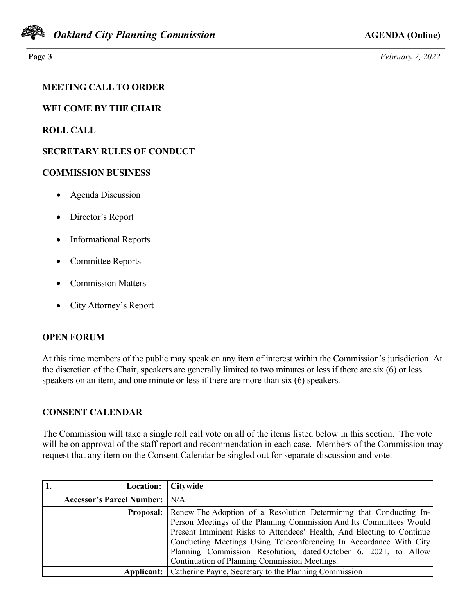

**Page 3** *February 2, 2022*

# **MEETING CALL TO ORDER**

**WELCOME BY THE CHAIR**

# **ROLL CALL**

# **SECRETARY RULES OF CONDUCT**

## **COMMISSION BUSINESS**

- Agenda Discussion
- Director's Report
- Informational Reports
- Committee Reports
- Commission Matters
- City Attorney's Report

# **OPEN FORUM**

At this time members of the public may speak on any item of interest within the Commission's jurisdiction. At the discretion of the Chair, speakers are generally limited to two minutes or less if there are six (6) or less speakers on an item, and one minute or less if there are more than six (6) speakers.

# **CONSENT CALENDAR**

The Commission will take a single roll call vote on all of the items listed below in this section. The vote will be on approval of the staff report and recommendation in each case. Members of the Commission may request that any item on the Consent Calendar be singled out for separate discussion and vote.

| Location:                            | <b>Citywide</b>                                                                     |
|--------------------------------------|-------------------------------------------------------------------------------------|
| <b>Accessor's Parcel Number:</b> N/A |                                                                                     |
|                                      | <b>Proposal:</b> Renew The Adoption of a Resolution Determining that Conducting In- |
|                                      | Person Meetings of the Planning Commission And Its Committees Would                 |
|                                      | Present Imminent Risks to Attendees' Health, And Electing to Continue               |
|                                      | Conducting Meetings Using Teleconferencing In Accordance With City                  |
|                                      | Planning Commission Resolution, dated October 6, 2021, to Allow                     |
|                                      | Continuation of Planning Commission Meetings.                                       |
| Applicant: 1                         | Catherine Payne, Secretary to the Planning Commission                               |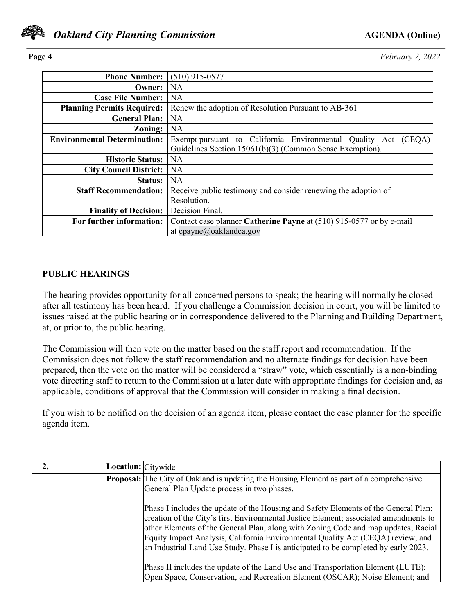

**Page 4** *February 2, 2022*

| <b>Phone Number:</b>                | $(510)$ 915-0577                                                                                                              |
|-------------------------------------|-------------------------------------------------------------------------------------------------------------------------------|
| Owner:                              | <b>NA</b>                                                                                                                     |
| <b>Case File Number:</b>            | <b>NA</b>                                                                                                                     |
| <b>Planning Permits Required:</b>   | Renew the adoption of Resolution Pursuant to AB-361                                                                           |
| <b>General Plan:</b>                | <b>NA</b>                                                                                                                     |
| Zoning:                             | NA                                                                                                                            |
| <b>Environmental Determination:</b> | Exempt pursuant to California Environmental Quality Act<br>(CEQA)<br>Guidelines Section 15061(b)(3) (Common Sense Exemption). |
| <b>Historic Status:</b>             | <b>NA</b>                                                                                                                     |
| <b>City Council District:</b>       | <b>NA</b>                                                                                                                     |
| <b>Status:</b>                      | <b>NA</b>                                                                                                                     |
| <b>Staff Recommendation:</b>        | Receive public testimony and consider renewing the adoption of                                                                |
|                                     | Resolution.                                                                                                                   |
| <b>Finality of Decision:</b>        | Decision Final.                                                                                                               |
| For further information:            | Contact case planner Catherine Payne at (510) 915-0577 or by e-mail                                                           |
|                                     | at cpayne@oaklandca.gov                                                                                                       |

## **PUBLIC HEARINGS**

The hearing provides opportunity for all concerned persons to speak; the hearing will normally be closed after all testimony has been heard. If you challenge a Commission decision in court, you will be limited to issues raised at the public hearing or in correspondence delivered to the Planning and Building Department, at, or prior to, the public hearing.

The Commission will then vote on the matter based on the staff report and recommendation. If the Commission does not follow the staff recommendation and no alternate findings for decision have been prepared, then the vote on the matter will be considered a "straw" vote, which essentially is a non-binding vote directing staff to return to the Commission at a later date with appropriate findings for decision and, as applicable, conditions of approval that the Commission will consider in making a final decision.

If you wish to be notified on the decision of an agenda item, please contact the case planner for the specific agenda item.

| <b>Location:</b> Citywide |                                                                                                                                                                                                                                                                                                                                                                                                                                             |
|---------------------------|---------------------------------------------------------------------------------------------------------------------------------------------------------------------------------------------------------------------------------------------------------------------------------------------------------------------------------------------------------------------------------------------------------------------------------------------|
|                           | <b>Proposal:</b> The City of Oakland is updating the Housing Element as part of a comprehensive<br>General Plan Update process in two phases.                                                                                                                                                                                                                                                                                               |
|                           | Phase I includes the update of the Housing and Safety Elements of the General Plan;<br>creation of the City's first Environmental Justice Element; associated amendments to<br>other Elements of the General Plan, along with Zoning Code and map updates; Racial<br>Equity Impact Analysis, California Environmental Quality Act (CEQA) review; and<br>an Industrial Land Use Study. Phase I is anticipated to be completed by early 2023. |
|                           | Phase II includes the update of the Land Use and Transportation Element (LUTE);<br>Open Space, Conservation, and Recreation Element (OSCAR); Noise Element; and                                                                                                                                                                                                                                                                             |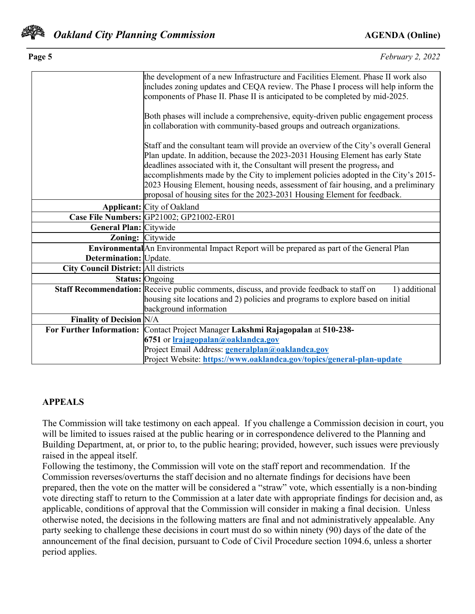

| Page 5                                      | February 2, 2022                                                                                                                                                                                                                                                                                                                                                                                                                                                                                                |
|---------------------------------------------|-----------------------------------------------------------------------------------------------------------------------------------------------------------------------------------------------------------------------------------------------------------------------------------------------------------------------------------------------------------------------------------------------------------------------------------------------------------------------------------------------------------------|
|                                             | the development of a new Infrastructure and Facilities Element. Phase II work also<br>includes zoning updates and CEQA review. The Phase I process will help inform the<br>components of Phase II. Phase II is anticipated to be completed by mid-2025.                                                                                                                                                                                                                                                         |
|                                             | Both phases will include a comprehensive, equity-driven public engagement process<br>in collaboration with community-based groups and outreach organizations.                                                                                                                                                                                                                                                                                                                                                   |
|                                             | Staff and the consultant team will provide an overview of the City's overall General<br>Plan update. In addition, because the 2023-2031 Housing Element has early State<br>deadlines associated with it, the Consultant will present the progress, and<br>accomplishments made by the City to implement policies adopted in the City's 2015-<br>2023 Housing Element, housing needs, assessment of fair housing, and a preliminary<br>proposal of housing sites for the 2023-2031 Housing Element for feedback. |
|                                             | <b>Applicant:</b> City of Oakland                                                                                                                                                                                                                                                                                                                                                                                                                                                                               |
|                                             | Case File Numbers: GP21002; GP21002-ER01                                                                                                                                                                                                                                                                                                                                                                                                                                                                        |
| General Plan: Citywide                      |                                                                                                                                                                                                                                                                                                                                                                                                                                                                                                                 |
| <b>Zoning:</b> Citywide                     |                                                                                                                                                                                                                                                                                                                                                                                                                                                                                                                 |
|                                             | Environmental An Environmental Impact Report will be prepared as part of the General Plan                                                                                                                                                                                                                                                                                                                                                                                                                       |
| Determination: Update.                      |                                                                                                                                                                                                                                                                                                                                                                                                                                                                                                                 |
| <b>City Council District: All districts</b> |                                                                                                                                                                                                                                                                                                                                                                                                                                                                                                                 |
|                                             | <b>Status:</b> Ongoing                                                                                                                                                                                                                                                                                                                                                                                                                                                                                          |
|                                             | Staff Recommendation: Receive public comments, discuss, and provide feedback to staff on<br>1) additional<br>housing site locations and 2) policies and programs to explore based on initial<br>background information                                                                                                                                                                                                                                                                                          |
| <b>Finality of Decision N/A</b>             |                                                                                                                                                                                                                                                                                                                                                                                                                                                                                                                 |
|                                             | For Further Information: Contact Project Manager Lakshmi Rajagopalan at 510-238-                                                                                                                                                                                                                                                                                                                                                                                                                                |
|                                             | 6751 or <b>Irajagopalan@oaklandca.gov</b>                                                                                                                                                                                                                                                                                                                                                                                                                                                                       |
|                                             | Project Email Address: generalplan@oaklandca.gov                                                                                                                                                                                                                                                                                                                                                                                                                                                                |
|                                             | Project Website: https://www.oaklandca.gov/topics/general-plan-update                                                                                                                                                                                                                                                                                                                                                                                                                                           |

## **APPEALS**

The Commission will take testimony on each appeal. If you challenge a Commission decision in court, you will be limited to issues raised at the public hearing or in correspondence delivered to the Planning and Building Department, at, or prior to, to the public hearing; provided, however, such issues were previously raised in the appeal itself.

Following the testimony, the Commission will vote on the staff report and recommendation. If the Commission reverses/overturns the staff decision and no alternate findings for decisions have been prepared, then the vote on the matter will be considered a "straw" vote, which essentially is a non-binding vote directing staff to return to the Commission at a later date with appropriate findings for decision and, as applicable, conditions of approval that the Commission will consider in making a final decision. Unless otherwise noted, the decisions in the following matters are final and not administratively appealable. Any party seeking to challenge these decisions in court must do so within ninety (90) days of the date of the announcement of the final decision, pursuant to Code of Civil Procedure section 1094.6, unless a shorter period applies.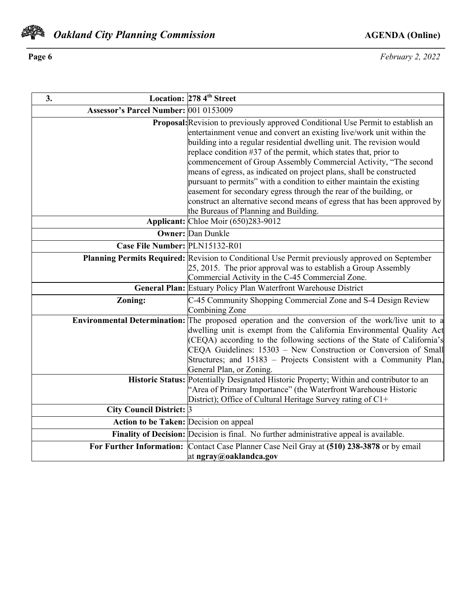

**Page 6** *February 2, 2022*

| 3.                                     | Location: 278 4 <sup>th</sup> Street                                                                                                                                                                                                                                                                                                                                                                                                                                                                                                                                                                                                                                                                                   |
|----------------------------------------|------------------------------------------------------------------------------------------------------------------------------------------------------------------------------------------------------------------------------------------------------------------------------------------------------------------------------------------------------------------------------------------------------------------------------------------------------------------------------------------------------------------------------------------------------------------------------------------------------------------------------------------------------------------------------------------------------------------------|
| Assessor's Parcel Number: 001 0153009  |                                                                                                                                                                                                                                                                                                                                                                                                                                                                                                                                                                                                                                                                                                                        |
|                                        | Proposal: Revision to previously approved Conditional Use Permit to establish an<br>entertainment venue and convert an existing live/work unit within the<br>building into a regular residential dwelling unit. The revision would<br>replace condition #37 of the permit, which states that, prior to<br>commencement of Group Assembly Commercial Activity, "The second<br>means of egress, as indicated on project plans, shall be constructed<br>pursuant to permits" with a condition to either maintain the existing<br>easement for secondary egress through the rear of the building, or<br>construct an alternative second means of egress that has been approved by<br>the Bureaus of Planning and Building. |
|                                        | Applicant: Chloe Moir (650)283-9012                                                                                                                                                                                                                                                                                                                                                                                                                                                                                                                                                                                                                                                                                    |
|                                        | <b>Owner: Dan Dunkle</b>                                                                                                                                                                                                                                                                                                                                                                                                                                                                                                                                                                                                                                                                                               |
| Case File Number: PLN15132-R01         |                                                                                                                                                                                                                                                                                                                                                                                                                                                                                                                                                                                                                                                                                                                        |
|                                        | Planning Permits Required: Revision to Conditional Use Permit previously approved on September<br>25, 2015. The prior approval was to establish a Group Assembly<br>Commercial Activity in the C-45 Commercial Zone.<br>General Plan: Estuary Policy Plan Waterfront Warehouse District                                                                                                                                                                                                                                                                                                                                                                                                                                |
| Zoning:                                | C-45 Community Shopping Commercial Zone and S-4 Design Review                                                                                                                                                                                                                                                                                                                                                                                                                                                                                                                                                                                                                                                          |
|                                        | Combining Zone                                                                                                                                                                                                                                                                                                                                                                                                                                                                                                                                                                                                                                                                                                         |
|                                        | Environmental Determination: The proposed operation and the conversion of the work/live unit to a<br>dwelling unit is exempt from the California Environmental Quality Act<br>(CEQA) according to the following sections of the State of California's<br>CEQA Guidelines: 15303 - New Construction or Conversion of Small<br>Structures; and 15183 – Projects Consistent with a Community Plan,<br>General Plan, or Zoning.                                                                                                                                                                                                                                                                                            |
|                                        | Historic Status: Potentially Designated Historic Property; Within and contributor to an<br>"Area of Primary Importance" (the Waterfront Warehouse Historic<br>District); Office of Cultural Heritage Survey rating of C1+                                                                                                                                                                                                                                                                                                                                                                                                                                                                                              |
| City Council District: 3               |                                                                                                                                                                                                                                                                                                                                                                                                                                                                                                                                                                                                                                                                                                                        |
| Action to be Taken: Decision on appeal |                                                                                                                                                                                                                                                                                                                                                                                                                                                                                                                                                                                                                                                                                                                        |
|                                        | Finality of Decision: Decision is final. No further administrative appeal is available.                                                                                                                                                                                                                                                                                                                                                                                                                                                                                                                                                                                                                                |
|                                        | For Further Information: Contact Case Planner Case Neil Gray at (510) 238-3878 or by email                                                                                                                                                                                                                                                                                                                                                                                                                                                                                                                                                                                                                             |
|                                        | at ngray@oaklandca.gov                                                                                                                                                                                                                                                                                                                                                                                                                                                                                                                                                                                                                                                                                                 |